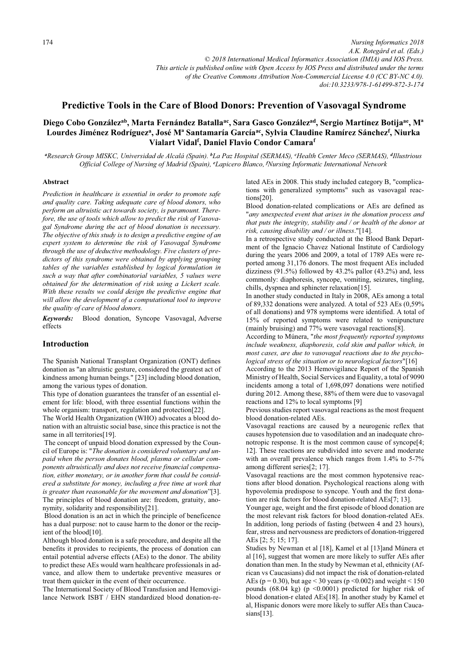*Nursing Informatics 2018 A.K. Rotegård et al. (Eds.) © 2018 International Medical Informatics Association (IMIA) and IOS Press. This article is published online with Open Access by IOS Press and distributed under the terms of the Creative Commons Attribution Non-Commercial License 4.0 (CC BY-NC 4.0). doi:10.3233/978-1-61499-872-3-174*

# **Predictive Tools in the Care of Blood Donors: Prevention of Vasovagal Syndrome**

# Diego Cobo González<sup>ab</sup>, Marta Fernández Batalla<sup>ac</sup>, Sara Gasco González<sup>ad</sup>, Sergio Martínez Botija<sup>ae</sup>, M<sup>a</sup> **Lourdes Jiménez Rodrígueza, José Mª Santamaría Garcíaac, Sylvia Claudine Ramírez Sánchezf , Niurka**  Vialart Vidal<sup>f</sup>, Daniel Flavio Condor Camara<sup>f</sup>

*a Research Group MISKC, Universidad de Alcalá (Spain). <sup>b</sup> La Paz Hospital (SERMAS), <sup>c</sup> Health Center Meco (SERMAS), <sup>d</sup> Illustrious Official College of Nursing of Madrid (Spain), <sup>e</sup> Lapicero Blanco, <sup>f</sup> Nursing Informatic International Network* 

### **Abstract**

*Prediction in healthcare is essential in order to promote safe and quality care. Taking adequate care of blood donors, who perform an altruistic act towards society, is paramount. Therefore, the use of tools which allow to predict the risk of Vasovagal Syndrome during the act of blood donation is necessary. The objective of this study is to design a predictive engine of an expert system to determine the risk of Vasovagal Syndrome through the use of deductive methodology. Five clusters of predictors of this syndrome were obtained by applying grouping tables of the variables established by logical formulation in such a way that after combinatorial variables, 5 values were obtained for the determination of risk using a Lickert scale. With these results we could design the predictive engine that will allow the development of a computational tool to improve the quality of care of blood donors.*

*Keywords:* Blood donation, Syncope Vasovagal, Adverse effects

## **Introduction**

 among the various types of donation. The Spanish National Transplant Organization (ONT) defines donation as "an altruistic gesture, considered the greatest act of kindness among human beings." [23] including blood donation,

 ement for life: blood, with three essential functions within the This type of donation guarantees the transfer of an essential elwhole organism: transport, regulation and protection[22].

The World Health Organization (WHO) advocates a blood donation with an altruistic social base, since this practice is not the same in all territories[19].

 nymity, solidarity and responsibility[21]. The concept of unpaid blood donation expressed by the Council of Europe is: "*The donation is considered voluntary and unpaid when the person donates blood, plasma or cellular components altruistically and does not receive financial compensation, either monetary, or in another form that could be considered a substitute for money, including a free time at work that is greater than reasonable for the movement and donation*"[3]. The principles of blood donation are: freedom, gratuity, ano-

Blood donation is an act in which the principle of beneficence has a dual purpose: not to cause harm to the donor or the recipient of the blood[10].

 to predict these AEs would warn healthcare professionals in ad-Although blood donation is a safe procedure, and despite all the benefits it provides to recipients, the process of donation can entail potential adverse effects (AEs) to the donor. The ability vance, and allow them to undertake preventive measures or treat them quicker in the event of their occurrence.

The International Society of Blood Transfusion and Hemovigilance Network ISBT / EHN standardized blood donation-related AEs in 2008. This study included category B, "complications with generalized symptoms" such as vasovagal reactions[20].

Blood donation-related complications or AEs are defined as "*any unexpected event that arises in the donation process and that puts the integrity, stability and / or health of the donor at risk, causing disability and / or illness*."[14].

In a retrospective study conducted at the Blood Bank Department of the Ignacio Chavez National Institute of Cardiology during the years 2006 and 2009, a total of 1789 AEs were reported among 31,176 donors. The most frequent AEs included dizziness (91.5%) followed by 43.2% pallor (43.2%) and, less commonly: diaphoresis, syncope, vomiting, seizures, tingling, chills, dyspnea and sphincter relaxation[15].

In another study conducted in Italy in 2008, AEs among a total of 89,332 donations were analyzed. A total of 523 AEs (0,59% of all donations) and 978 symptoms were identified. A total of 15% of reported symptoms were related to venipuncture (mainly bruising) and 77% were vasovagal reactions[8].

According to Múnera, "*the most frequently reported symptoms include weakness, diaphoresis, cold skin and pallor which, in most cases, are due to vasovagal reactions due to the psychological stress of the situation or to neurological factors*"[16]

According to the 2013 Hemovigilance Report of the Spanish Ministry of Health, Social Services and Equality, a total of 9090 incidents among a total of 1,698,097 donations were notified during 2012. Among these, 88% of them were due to vasovagal reactions and 12% to local symptoms [9]

Previous studies report vasovagal reactions as the most frequent blood donation-related AEs.

Vasovagal reactions are caused by a neurogenic reflex that causes hypotension due to vasodilation and an inadequate chronotropic response. It is the most common cause of syncope[4; 12]. These reactions are subdivided into severe and moderate with an overall prevalence which ranges from 1.4% to 5-7% among different series[2; 17].

Vasovagal reactions are the most common hypotensive reactions after blood donation. Psychological reactions along with hypovolemia predispose to syncope. Youth and the first donation are risk factors for blood donation-related AEs[7; 13].

Younger age, weight and the first episode of blood donation are the most relevant risk factors for blood donation-related AEs. In addition, long periods of fasting (between 4 and 23 hours), fear, stress and nervousness are predictors of donation-triggered AEs [2; 5; 15; 17].

Studies by Newman et al [18], Kamel et al [13]and Múnera et al [16], suggest that women are more likely to suffer AEs after donation than men. In the study by Newman et al, ethnicity (African vs Caucasians) did not impact the risk of donation-related AEs ( $p = 0.30$ ), but age < 30 years ( $p \le 0.002$ ) and weight < 150 pounds (68.04 kg) (p <0.0001) predicted for higher risk of blood donation-r elated AEs[18]. In another study by Kamel et al, Hispanic donors were more likely to suffer AEs than Caucasians[13].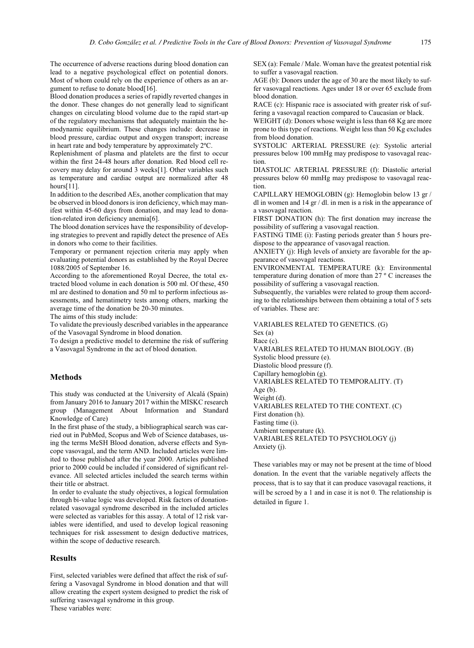The occurrence of adverse reactions during blood donation can lead to a negative psychological effect on potential donors. Most of whom could rely on the experience of others as an argument to refuse to donate blood[16].

Blood donation produces a series of rapidly reverted changes in the donor. These changes do not generally lead to significant changes on circulating blood volume due to the rapid start-up of the regulatory mechanisms that adequately maintain the hemodynamic equilibrium. These changes include: decrease in blood pressure, cardiac output and oxygen transport; increase in heart rate and body temperature by approximately 2ºC.

Replenishment of plasma and platelets are the first to occur within the first 24-48 hours after donation. Red blood cell recovery may delay for around 3 weeks[1]. Other variables such as temperature and cardiac output are normalized after 48 hours[11].

In addition to the described AEs, another complication that may be observed in blood donors is iron deficiency, which may manifest within 45-60 days from donation, and may lead to donation-related iron deficiency anemia[6].

The blood donation services have the responsibility of developing strategies to prevent and rapidly detect the presence of AEs in donors who come to their facilities.

Temporary or permanent rejection criteria may apply when evaluating potential donors as established by the Royal Decree 1088/2005 of September 16.

According to the aforementioned Royal Decree, the total extracted blood volume in each donation is 500 ml. Of these, 450 ml are destined to donation and 50 ml to perform infectious assessments, and hematimetry tests among others, marking the average time of the donation be 20-30 minutes.

The aims of this study include:

To validate the previously described variables in the appearance of the Vasovagal Syndrome in blood donation.

To design a predictive model to determine the risk of suffering a Vasovagal Syndrome in the act of blood donation.

## **Methods**

This study was conducted at the University of Alcalá (Spain) from January 2016 to January 2017 within the MISKC research group (Management About Information and Standard Knowledge of Care)

In the first phase of the study, a bibliographical search was carried out in PubMed, Scopus and Web of Science databases, using the terms MeSH Blood donation, adverse effects and Syncope vasovagal, and the term AND. Included articles were limited to those published after the year 2000. Articles published prior to 2000 could be included if considered of significant relevance. All selected articles included the search terms within their title or abstract.

 In order to evaluate the study objectives, a logical formulation through bi-value logic was developed. Risk factors of donationrelated vasovagal syndrome described in the included articles were selected as variables for this assay. A total of 12 risk variables were identified, and used to develop logical reasoning techniques for risk assessment to design deductive matrices, within the scope of deductive research.

## **Results**

First, selected variables were defined that affect the risk of suffering a Vasovagal Syndrome in blood donation and that will allow creating the expert system designed to predict the risk of suffering vasovagal syndrome in this group. These variables were:

SEX (a): Female / Male. Woman have the greatest potential risk to suffer a vasovagal reaction.

AGE (b): Donors under the age of 30 are the most likely to suffer vasovagal reactions. Ages under 18 or over 65 exclude from blood donation.

RACE (c): Hispanic race is associated with greater risk of suffering a vasovagal reaction compared to Caucasian or black.

WEIGHT (d): Donors whose weight is less than 68 Kg are more prone to this type of reactions. Weight less than 50 Kg excludes from blood donation.

SYSTOLIC ARTERIAL PRESSURE (e): Systolic arterial pressures below 100 mmHg may predispose to vasovagal reaction.

DIASTOLIC ARTERIAL PRESSURE (f): Diastolic arterial pressures below 60 mmHg may predispose to vasovagal reaction.

CAPILLARY HEMOGLOBIN (g): Hemoglobin below 13 gr / dl in women and 14 gr / dl. in men is a risk in the appearance of a vasovagal reaction.

FIRST DONATION (h): The first donation may increase the possibility of suffering a vasovagal reaction.

FASTING TIME (i): Fasting periods greater than 5 hours predispose to the appearance of vasovagal reaction.

ANXIETY (j): High levels of anxiety are favorable for the appearance of vasovagal reactions.

ENVIRONMENTAL TEMPERATURE (k): Environmental temperature during donation of more than 27 º C increases the possibility of suffering a vasovagal reaction.

Subsequently, the variables were related to group them according to the relationships between them obtaining a total of 5 sets of variables. These are:

VARIABLES RELATED TO GENETICS. (G)

Sex (a) Race (c). VARIABLES RELATED TO HUMAN BIOLOGY. (B) Systolic blood pressure (e). Diastolic blood pressure (f). Capillary hemoglobin (g). VARIABLES RELATED TO TEMPORALITY. (T) Age (b). Weight (d). VARIABLES RELATED TO THE CONTEXT. (C) First donation (h). Fasting time (i). Ambient temperature (k). VARIABLES RELATED TO PSYCHOLOGY (j) Anxiety (j).

These variables may or may not be present at the time of blood donation. In the event that the variable negatively affects the process, that is to say that it can produce vasovagal reactions, it will be scroed by a 1 and in case it is not 0. The relationship is detailed in figure 1.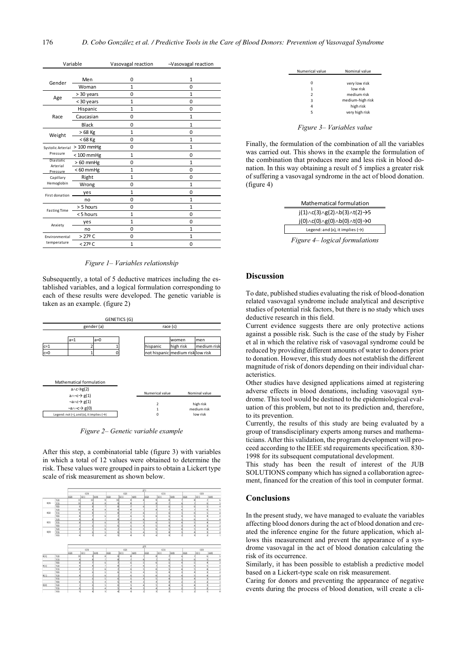| Variable                                 |                 | Vasovagal reaction | →Vasovagal reaction |  |  |
|------------------------------------------|-----------------|--------------------|---------------------|--|--|
|                                          |                 |                    |                     |  |  |
| Gender                                   | Men             | 0                  | $\mathbf{1}$        |  |  |
|                                          | Woman           | $\mathbf{1}$       | $\Omega$            |  |  |
| Age                                      | > 30 years      | 0                  | 1                   |  |  |
|                                          | < 30 years      | $\mathbf{1}$       | $\Omega$            |  |  |
|                                          | Hispanic        | $\mathbf{1}$       | 0                   |  |  |
| Race                                     | Caucasian       | 0                  | 1                   |  |  |
|                                          | Black           | 0                  | $\mathbf{1}$        |  |  |
| Weight                                   | $>68$ Kg        | $\mathbf{1}$       | $\Omega$            |  |  |
|                                          | $< 68$ Kg       | 0                  | $\mathbf{1}$        |  |  |
| Systolic Arterial<br>Pressure            | $>100$ mmHg     | 0                  | $\mathbf{1}$        |  |  |
|                                          | $< 100$ mmHg    | $\mathbf{1}$       | $\Omega$            |  |  |
| <b>Diastolic</b><br>Arterial<br>Pressure | $>60$ mmHg      | 0                  | $\mathbf{1}$        |  |  |
|                                          | $< 60$ mmHg     | $\mathbf{1}$       | $\Omega$            |  |  |
| Capillary<br>Hemoglobin                  | Right           | 1                  | 0                   |  |  |
|                                          | Wrong           | $\Omega$           | $\overline{1}$      |  |  |
| First donation                           | yes             | $\mathbf{1}$       | $\Omega$            |  |  |
|                                          | no              | 0                  | $\overline{1}$      |  |  |
| <b>Fasting Time</b>                      | > 5 hours       | 0                  | 1                   |  |  |
|                                          | <5 hours        | $\mathbf{1}$       | 0                   |  |  |
| Anxiety                                  | yes             | $\mathbf{1}$       | $\Omega$            |  |  |
|                                          | no              | 0                  | $\mathbf{1}$        |  |  |
| Environmental                            | $>27^{\circ}$ C | 0                  | $\mathbf{1}$        |  |  |
| temperature                              | < 27º C         | $\mathbf{1}$       | 0                   |  |  |
|                                          |                 |                    |                     |  |  |

*Figure 1– Variables relationship* 

Subsequently, a total of 5 deductive matrices including the established variables, and a logical formulation corresponding to each of these results were developed. The genetic variable is taken as an example. (figure 2)

|                                        |  |                                                                    |                | <b>GENETICS (G)</b>              |           |                                   |             |  |
|----------------------------------------|--|--------------------------------------------------------------------|----------------|----------------------------------|-----------|-----------------------------------|-------------|--|
|                                        |  |                                                                    | gender (a)     |                                  | race (c)  |                                   |             |  |
|                                        |  |                                                                    |                |                                  |           |                                   |             |  |
|                                        |  | $a=1$                                                              | $a=0$          |                                  |           | women                             | men         |  |
| $c=1$                                  |  | 2                                                                  |                |                                  | hispanic  | high risk                         | medium risk |  |
| $c=0$                                  |  | ٠                                                                  |                |                                  |           | not hispanic medium risk low risk |             |  |
|                                        |  | Mathematical formulation                                           |                |                                  |           |                                   |             |  |
| $a \wedge c \rightarrow g(2)$          |  |                                                                    |                | Numerical value<br>Nominal value |           |                                   |             |  |
| $a \land \neg c \rightarrow g(1)$      |  |                                                                    |                |                                  |           |                                   |             |  |
| $\neg a \land c \rightarrow g(1)$      |  |                                                                    | $\overline{2}$ |                                  | high risk |                                   |             |  |
| $\neg a \land \neg c \rightarrow g(0)$ |  |                                                                    | $\overline{1}$ | medium risk                      |           |                                   |             |  |
|                                        |  | Legend: not $(\neg)$ , and $(\wedge)$ , it implies $(\rightarrow)$ |                |                                  | $\Omega$  |                                   | low risk    |  |

*Figure 2– Genetic variable example* 

After this step, a combinatorial table (figure 3) with variables in which a total of 12 values were obtained to determine the risk. These values were grouped in pairs to obtain a Lickert type scale of risk measurement as shown below.

|      |                     |                |                 |      |      |                    |      | nn.  |      |      |      |      |                                                                                                   |
|------|---------------------|----------------|-----------------|------|------|--------------------|------|------|------|------|------|------|---------------------------------------------------------------------------------------------------|
|      |                     | C(3)           |                 |      | C(2) |                    |      | C(1) |      |      | ClO  |      |                                                                                                   |
|      |                     | G(2)           | G(1)            | G(O) | G(2) | $\frac{1}{2}$ G(1) | G(0) | 6(2) | G(1) | G(0) | G(2) | G(1) | G(O)                                                                                              |
| B(3) |                     | 11             | 10 <sup>1</sup> |      | 10   |                    |      |      |      |      |      |      |                                                                                                   |
|      | $rac{T(2)}{T(1)}$   | 10             |                 |      |      |                    |      |      |      |      |      |      |                                                                                                   |
|      | T(O)                | ä              |                 |      |      |                    |      |      |      |      |      |      |                                                                                                   |
| B(2) | T(2)                | 10             |                 |      |      |                    |      |      |      |      |      |      |                                                                                                   |
|      | $\frac{1}{1}$       |                |                 |      |      |                    |      |      |      |      |      |      |                                                                                                   |
|      | T(O)                |                |                 |      |      |                    |      |      |      |      |      |      |                                                                                                   |
|      |                     |                |                 |      |      |                    |      |      |      |      |      |      |                                                                                                   |
| B(1) | $rac{7(2)}{7(1)}$   |                |                 | ×    |      |                    |      |      |      |      |      |      |                                                                                                   |
|      | T(O)                |                |                 |      |      |                    |      |      |      |      |      |      |                                                                                                   |
| B(0) | T(2)                |                |                 | ł    |      |                    |      |      |      |      |      |      |                                                                                                   |
|      | T(1)                |                |                 |      |      |                    |      |      |      |      |      |      |                                                                                                   |
|      | T(0)                | $\overline{6}$ |                 | ä    | N    |                    |      |      |      |      |      |      | zi                                                                                                |
|      |                     |                |                 |      |      |                    |      | j00  |      |      |      |      |                                                                                                   |
|      |                     | C(3)           |                 |      | C(2) |                    |      | C(1) |      |      | ClO  |      |                                                                                                   |
|      |                     | G(2)           | G(1)            | GIO  | G(2) | Isn                | G(O) | 6(2) | G(1) | G(O) | G(2) | Q(1) | G(O)                                                                                              |
| 8(3) | T(2)                | 10             |                 |      |      |                    |      |      | ×    |      |      |      |                                                                                                   |
|      | T(1)                |                |                 |      |      |                    |      |      |      |      |      |      |                                                                                                   |
|      | $\frac{T(0)}{T(2)}$ |                |                 |      |      |                    |      |      |      |      |      |      |                                                                                                   |
| B(2) |                     |                |                 |      |      |                    |      |      |      |      |      |      |                                                                                                   |
|      |                     |                |                 |      |      |                    |      |      |      |      |      |      |                                                                                                   |
|      | $\frac{T(1)}{T(0)}$ |                |                 |      |      |                    |      |      |      |      |      |      | $\frac{1}{2}$ $\frac{1}{2}$ $\frac{1}{2}$ $\frac{1}{2}$ $\frac{1}{2}$ $\frac{1}{2}$ $\frac{1}{2}$ |
| 6(1) | 1(2)                |                |                 |      |      |                    |      |      |      |      |      |      |                                                                                                   |
|      | 7(1)                |                |                 |      |      |                    |      |      |      |      |      |      |                                                                                                   |

| Numerical value | Nominal value    |
|-----------------|------------------|
|                 |                  |
| 0               | very low risk    |
| 1               | low risk         |
| $\mathcal{P}$   | medium risk      |
| 3               | medium-high risk |
| 4               | high risk        |
| 5               |                  |
|                 |                  |
|                 | very high risk   |

*Figure 3– Variables value* 

Finally, the formulation of the combination of all the variables was carried out. This shows in the example the formulation of the combination that produces more and less risk in blood donation. In this way obtaining a result of 5 implies a greater risk of suffering a vasovagal syndrome in the act of blood donation. (figure 4)

| <b>Mathematical formulation</b>                                      |  |
|----------------------------------------------------------------------|--|
| $j(1)\wedge c(3)\wedge g(2)\wedge b(3)\wedge t(2) \rightarrow 5$     |  |
| $j(0) \wedge c(0) \wedge g(0) \wedge b(0) \wedge t(0) \rightarrow 0$ |  |
| Legend: and ( $\Lambda$ ), it implies ( $\rightarrow$ )              |  |

*Figure 4– logical formulations* 

#### **Discussion**

To date, published studies evaluating the risk of blood-donation related vasovagal syndrome include analytical and descriptive studies of potential risk factors, but there is no study which uses deductive research in this field.

Current evidence suggests there are only protective actions against a possible risk. Such is the case of the study by Fisher et al in which the relative risk of vasovagal syndrome could be reduced by providing different amounts of water to donors prior to donation. However, this study does not establish the different magnitude of risk of donors depending on their individual characteristics.

Other studies have designed applications aimed at registering adverse effects in blood donations, including vasovagal syndrome. This tool would be destined to the epidemiological evaluation of this problem, but not to its prediction and, therefore, to its prevention.

Currently, the results of this study are being evaluated by a group of transdisciplinary experts among nurses and mathematicians. After this validation, the program development will proceed according to the IEEE std requirements specification. 830- 1998 for its subsequent computational development.

This study has been the result of interest of the JUB SOLUTIONS company which has signed a collaboration agreement, financed for the creation of this tool in computer format.

### **Conclusions**

In the present study, we have managed to evaluate the variables affecting blood donors during the act of blood donation and created the inference engine for the future application, which allows this measurement and prevent the appearance of a syndrome vasovagal in the act of blood donation calculating the risk of its occurrence.

Similarly, it has been possible to establish a predictive model based on a Lickert-type scale on risk measurement.

Caring for donors and preventing the appearance of negative events during the process of blood donation, will create a cli-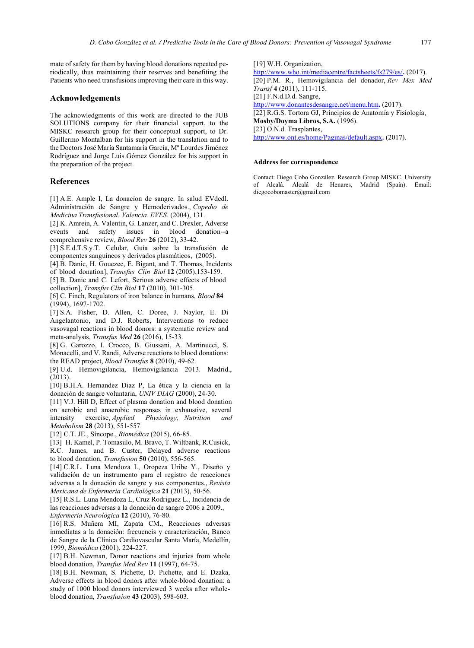Patients who need transfusions improving their care in this way. mate of safety for them by having blood donations repeated periodically, thus maintaining their reserves and benefiting the

## **Acknowledgements**

The acknowledgments of this work are directed to the JUB SOLUTIONS company for their financial support, to the MISKC research group for their conceptual support, to Dr. Guillermo Montalban for his support in the translation and to the Doctors José María Santamaría García, Mª Lourdes Jiménez Rodríguez and Jorge Luis Gómez González for his support in the preparation of the project.

## **References**

 *Medicina Transfusional. Valencia. EVES.* (2004), 131. [1] A.E. Ample I, La donacíon de sangre. In salud EVdedl. Administración de Sangre y Hemoderivados., *Copedio de*

 comprehensive review, *Blood Rev* **26** (2012), 33-42. [2] K. Amrein, A. Valentin, G. Lanzer, and C. Drexler, Adverse events and safety issues in blood donation--a

[3] S.E.d.T.S.y.T. Celular, Guía sobre la transfusión de componentes sanguíneos y derivados plasmáticos, (2005).

[4] B. Danic, H. Gouezec, E. Bigant, and T. Thomas, Incidents

 of blood donation], *Transfus Clin Biol* **12** (2005),153-159. [5] B. Danic and C. Lefort, Serious adverse effects of blood

collection], *Transfus Clin Biol* **17** (2010), 301-305.

 [6] C. Finch, Regulators of iron balance in humans, *Blood* **84** (1994), 1697-1702.

[7] S.A. Fisher, D. Allen, C. Doree, J. Naylor, E. Di Angelantonio, and D.J. Roberts, Interventions to reduce vasovagal reactions in blood donors: a systematic review and meta-analysis, *Transfus Med* **26** (2016), 15-33.

 [8] G. Garozzo, I. Crocco, B. Giussani, A. Martinucci, S. Monacelli, and V. Randi, Adverse reactions to blood donations: the READ project, *Blood Transfus* **8** (2010), 49-62.

 [9] U.d. Hemovigilancia, Hemovigilancia 2013. Madrid., (2013).

[10] B.H.A. Hernandez Diaz P, La ética y la ciencia en la donación de sangre voluntaria, *UNIV DIAG* (2000), 24-30.

 [11] V.J. Hill D, Effect of plasma donation and blood donation on aerobic and anaerobic responses in exhaustive, several intensity exercise, *Applied Physiology, Nutrition and Metabolism* **28** (2013), 551-557.

[12] C.T. JE., Síncope., *Biomédica* (2015), 66-85.

 [13] H. Kamel, P. Tomasulo, M. Bravo, T. Wiltbank, R.Cusick, R.C. James, and B. Custer, Delayed adverse reactions to blood donation, *Transfusion* **50** (2010), 556-565.

 [14] C.R.L. Luna Mendoza L, Oropeza Uribe Y., Diseño y validación de un instrumento para el registro de reacciones adversas a la donación de sangre y sus componentes., *Revista Mexicana de Enfermeria Cardiológica* **21** (2013), 50-56.

 [15] R.S.L. Luna Mendoza L, Cruz Rodriguez L., Incidencia de las reacciones adversas a la donación de sangre 2006 a 2009., *Enfermería Neurológica* **12** (2010), 76-80.

 [16] R.S. Muñera MI, Zapata CM., Reacciones adversas inmediatas a la donación: frecuencis y caracterización, Banco de Sangre de la Clínica Cardiovascular Santa María, Medellín, 1999, *Biomédica* (2001), 224-227.

 [17] B.H. Newman, Donor reactions and injuries from whole blood donation, *Transfus Med Rev* **11** (1997), 64-75.

 [18] B.H. Newman, S. Pichette, D. Pichette, and E. Dzaka, Adverse effects in blood donors after whole-blood donation: a study of 1000 blood donors interviewed 3 weeks after wholeblood donation, *Transfusion* **43** (2003), 598-603.

[19] W.H. Organization,

 <http://www.who.int/mediacentre/factsheets/fs279/es/>**.** (2017). *Transf* **4** (2011), 111-115. <http://www.donantesdesangre.net/menu.htm>**.** (2017). **Mosby/Doyma Libros, S.A.** (1996). <http://www.ont.es/home/Paginas/default.aspx>**.** (2017). [20] P.M. R., Hemovigilancia del donador, *Rev Mex Med* [21] F.N.d.D.d. Sangre, [22] R.G.S. Tortora GJ, Principios de Anatomía y Fisiología, [23] O.N.d. Trasplantes,

## **Address for correspondence**

Contact: Diego Cobo González. Research Group MISKC. University of Alcalá. Alcalá de Henares, Madrid (Spain). Email: diegocobomaster@gmail.com